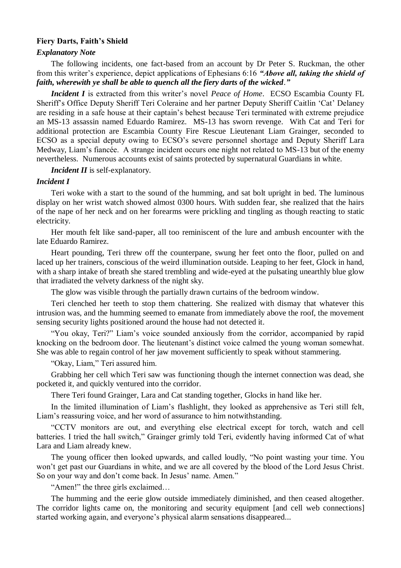#### **Fiery Darts, Faith's Shield**

#### *Explanatory Note*

The following incidents, one fact-based from an account by Dr Peter S. Ruckman, the other from this writer's experience, depict applications of Ephesians 6:16 *"Above all, taking the shield of faith, wherewith ye shall be able to quench all the fiery darts of the wicked*.*"*

*Incident I* is extracted from this writer's novel *Peace of Home*. ECSO Escambia County FL Sheriff's Office Deputy Sheriff Teri Coleraine and her partner Deputy Sheriff Caitlin 'Cat' Delaney are residing in a safe house at their captain's behest because Teri terminated with extreme prejudice an MS-13 assassin named Eduardo Ramirez. MS-13 has sworn revenge. With Cat and Teri for additional protection are Escambia County Fire Rescue Lieutenant Liam Grainger, seconded to ECSO as a special deputy owing to ECSO's severe personnel shortage and Deputy Sheriff Lara Medway, Liam's fiancée. A strange incident occurs one night not related to MS-13 but of the enemy nevertheless. Numerous accounts exist of saints protected by supernatural Guardians in white.

*Incident II* is self-explanatory.

## *Incident I*

Teri woke with a start to the sound of the humming, and sat bolt upright in bed. The luminous display on her wrist watch showed almost 0300 hours. With sudden fear, she realized that the hairs of the nape of her neck and on her forearms were prickling and tingling as though reacting to static electricity.

Her mouth felt like sand-paper, all too reminiscent of the lure and ambush encounter with the late Eduardo Ramirez.

Heart pounding, Teri threw off the counterpane, swung her feet onto the floor, pulled on and laced up her trainers, conscious of the weird illumination outside. Leaping to her feet, Glock in hand, with a sharp intake of breath she stared trembling and wide-eyed at the pulsating unearthly blue glow that irradiated the velvety darkness of the night sky.

The glow was visible through the partially drawn curtains of the bedroom window.

Teri clenched her teeth to stop them chattering. She realized with dismay that whatever this intrusion was, and the humming seemed to emanate from immediately above the roof, the movement sensing security lights positioned around the house had not detected it.

"You okay, Teri?" Liam's voice sounded anxiously from the corridor, accompanied by rapid knocking on the bedroom door. The lieutenant's distinct voice calmed the young woman somewhat. She was able to regain control of her jaw movement sufficiently to speak without stammering.

"Okay, Liam," Teri assured him.

Grabbing her cell which Teri saw was functioning though the internet connection was dead, she pocketed it, and quickly ventured into the corridor.

There Teri found Grainger, Lara and Cat standing together, Glocks in hand like her.

In the limited illumination of Liam's flashlight, they looked as apprehensive as Teri still felt, Liam's reassuring voice, and her word of assurance to him notwithstanding.

"CCTV monitors are out, and everything else electrical except for torch, watch and cell batteries. I tried the hall switch," Grainger grimly told Teri, evidently having informed Cat of what Lara and Liam already knew.

The young officer then looked upwards, and called loudly, "No point wasting your time. You won't get past our Guardians in white, and we are all covered by the blood of the Lord Jesus Christ. So on your way and don't come back. In Jesus' name. Amen."

"Amen!" the three girls exclaimed…

The humming and the eerie glow outside immediately diminished, and then ceased altogether. The corridor lights came on, the monitoring and security equipment [and cell web connections] started working again, and everyone's physical alarm sensations disappeared...